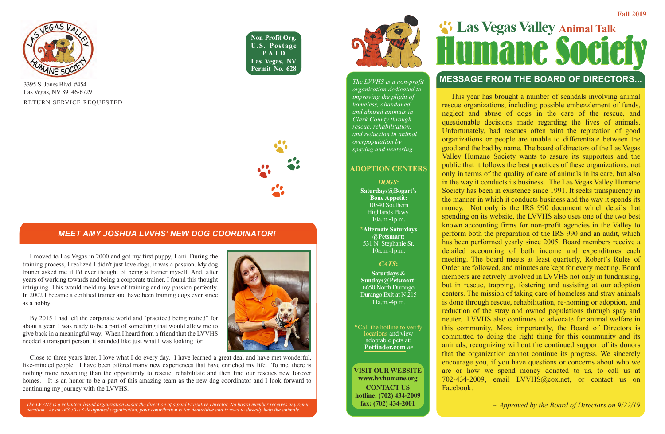**Non Profit Org. U.S. Postage PAID Las Vegas, NV Permit No. 628**





RETURN SERVICE REQUESTED 3395 S. Jones Blvd. #454 Las Vegas, NV 89146-6729

### **MESSAGE FROM THE BOARD OF DIRECTORS...**

*The LVVHS is a volunteer based organization under the direction of a paid Executive Director. No board member receives any remuneration. As an IRS 501c3 designated organization, your contribution is tax deductible and is used to directly help the animals.* 





*The LVVHS is a non-profit organization dedicated to improving the plight of homeless, abandoned and abused animals in Clark County through rescue, rehabilitation, and reduction in animal overpopulation by spaying and neutering.*

#### **ADOPTION CENTERS**

*DOGS***:** 

**Saturdays@Bogart's Bone Appetit:** 10540 Southern Highlands Pkwy. 10a.m.-1p.m.

**\*Alternate Saturdays @Petsmart:** 531 N. Stephanie St. 10a.m.-1p.m.

#### *CATS***:**

**Saturdays & Sundays@Petsmart:** 6650 North Durango Durango Exit at N 215 11a.m.-4p.m.

\*Call the hotline to verify locations and view adoptable pets at: **Petfinder.com** *or*

**VISIT OUR WEBSITE www.lvvhumane.org CONTACT US hotline: (702) 434-2009 fax: (702) 434-2001**

# **Las Vegas Valley Animal Talk**<br>**Humanc Society**

#### *MEET AMY JOSHUA LVVHS' NEW DOG COORDINATOR!*

 I moved to Las Vegas in 2000 and got my first puppy, Lani. During the training process, I realized I didn't just love dogs, it was a passion. My dog trainer asked me if I'd ever thought of being a trainer myself. And, after years of working towards and being a corporate trainer, I found this thought intriguing. This would meld my love of training and my passion perfectly. In 2002 I became a certified trainer and have been training dogs ever since as a hobby.

 By 2015 I had left the corporate world and "practiced being retired" for about a year. I was ready to be a part of something that would allow me to give back in a meaningful way. When I heard from a friend that the LVVHS needed a transport person, it sounded like just what I was looking for.

 This year has brought a number of scandals involving animal rescue organizations, including possible embezzlement of funds, neglect and abuse of dogs in the care of the rescue, and questionable decisions made regarding the lives of animals. Unfortunately, bad rescues often taint the reputation of good organizations or people are unable to differentiate between the good and the bad by name. The board of directors of the Las Vegas Valley Humane Society wants to assure its supporters and the public that it follows the best practices of these organizations, not only in terms of the quality of care of animals in its care, but also in the way it conducts its business. The Las Vegas Valley Humane Society has been in existence since 1991. It seeks transparency in the manner in which it conducts business and the way it spends its money. Not only is the IRS 990 document which details that spending on its website, the LVVHS also uses one of the two best known accounting firms for non-profit agencies in the Valley to perform both the preparation of the IRS 990 and an audit, which has been performed yearly since 2005. Board members receive a detailed accounting of both income and expenditures each meeting. The board meets at least quarterly, Robert's Rules of Order are followed, and minutes are kept for every meeting. Board members are actively involved in LVVHS not only in fundraising, but in rescue, trapping, fostering and assisting at our adoption centers. The mission of taking care of homeless and stray animals is done through rescue, rehabilitation, re-homing or adoption, and reduction of the stray and owned populations through spay and neuter. LVVHS also continues to advocate for animal welfare in this community. More importantly, the Board of Directors is committed to doing the right thing for this community and its animals, recognizing without the continued support of its donors that the organization cannot continue its progress. We sincerely encourage you, if you have questions or concerns about who we are or how we spend money donated to us, to call us at 702-434-2009, email LVVHS@cox.net, or contact us on Facebook.

*~ Approved by the Board of Directors on 9/22/19*